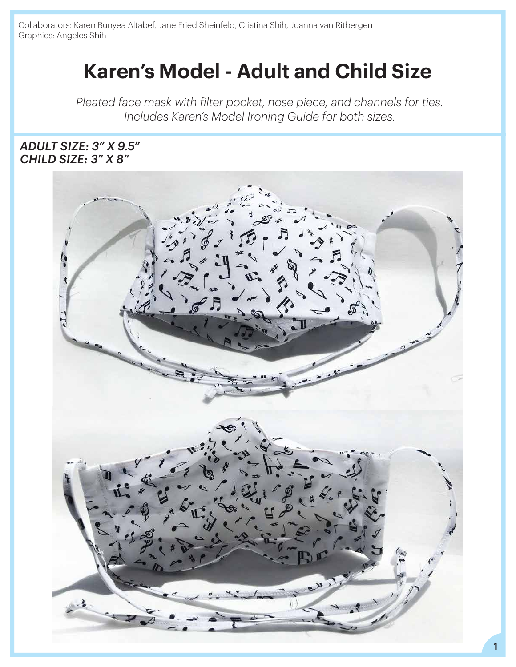Collaborators: Karen Bunyea Altabef, Jane Fried Sheinfeld, Cristina Shih, Joanna van Ritbergen Graphics: Angeles Shih

# **Karen's Model - Adult and Child Size**

*Pleated face mask with filter pocket, nose piece, and channels for ties. Includes Karen's Model Ironing Guide for both sizes.*

#### *CHILD SIZE: 3" X 8" ADULT SIZE: 3" X 9.5"*

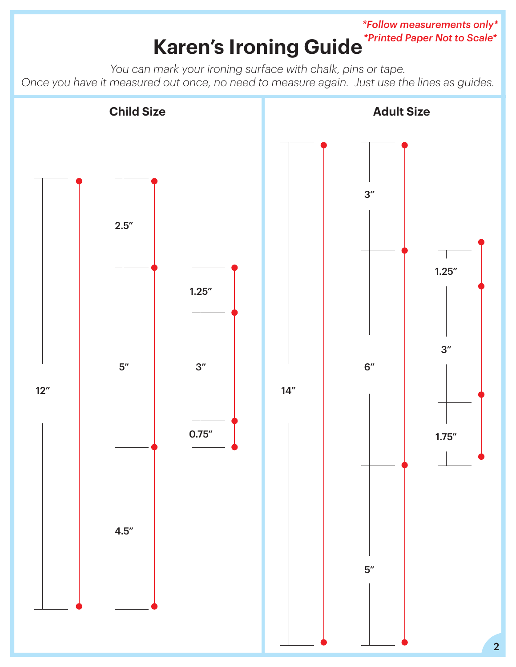#### **Karen's Ironing Guide** *\*Follow measurements only\* \*Printed Paper Not to Scale\**

*You can mark your ironing surface with chalk, pins or tape. Once you have it measured out once, no need to measure again. Just use the lines as guides.*

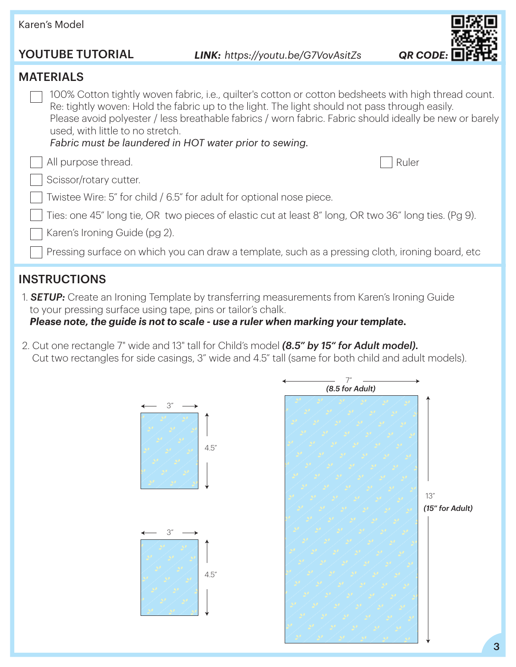### Karen's Model MATERIALS YOUTUBE TUTORIAL All purpose thread. Scissor/rotary cutter. Twistee Wire: 5" for child / 6.5" for adult for optional nose piece. 100% Cotton tightly woven fabric, i.e., quilter's cotton or cotton bedsheets with high thread count. Re: tightly woven: Hold the fabric up to the light. The light should not pass through easily. Please avoid polyester / less breathable fabrics / worn fabric. Fabric should ideally be new or barely used, with little to no stretch. *Fabric must be laundered in HOT water prior to sewing. LINK: <https://youtu.be/G7VovAsitZs> QR CODE:* Karen's Ironing Guide (pg 2). Pressing surface on which you can draw a template, such as a pressing cloth, ironing board, etc Ties: one 45" long tie, OR two pieces of elastic cut at least 8" long, OR two 36" long ties. (Pg 9). Ruler

### INSTRUCTIONS

1. *SETUP:* Create an Ironing Template by transferring measurements from Karen's Ironing Guide to your pressing surface using tape, pins or tailor's chalk.

*Please note, the guide is not to scale - use a ruler when marking your template.*

2. Cut one rectangle 7" wide and 13" tall for Child's model *(8.5" by 15" for Adult model).* Cut two rectangles for side casings, 3" wide and 4.5" tall (same for both child and adult models).

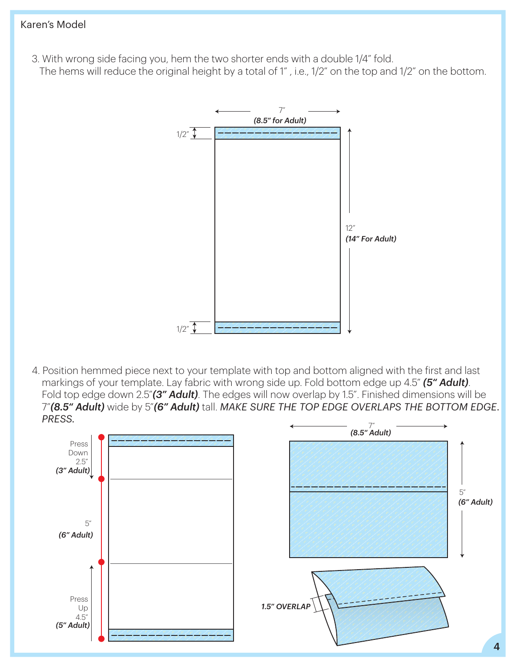- 3. With wrong side facing you, hem the two shorter ends with a double 1/4" fold.
- The hems will reduce the original height by a total of 1" , i.e., 1/2" on the top and 1/2" on the bottom.



4. Position hemmed piece next to your template with top and bottom aligned with the first and last markings of your template. Lay fabric with wrong side up. Fold bottom edge up 4.5" *(5" Adult)*. Fold top edge down 2.5"*(3" Adult)*. The edges will now overlap by 1.5". Finished dimensions will be 7"*(8.5" Adult)* wide by 5"*(6" Adult)* tall. *MAKE SURE THE TOP EDGE OVERLAPS THE BOTTOM EDGE. PRESS.* 7"

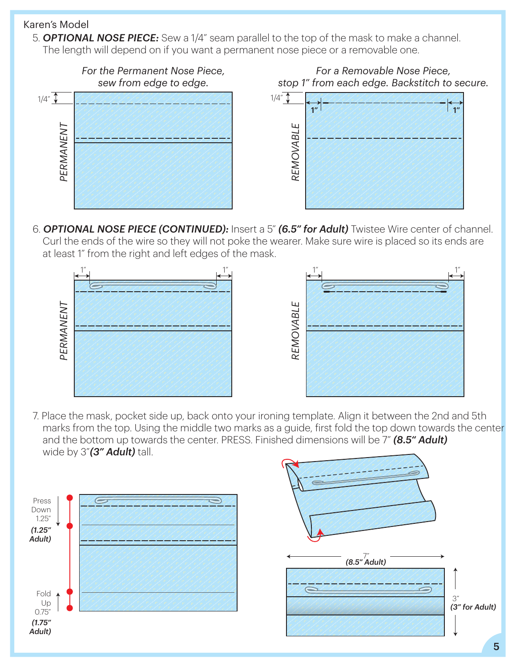5. *OPTIONAL NOSE PIECE:* Sew a 1/4" seam parallel to the top of the mask to make a channel. The length will depend on if you want a permanent nose piece or a removable one.



6. *OPTIONAL NOSE PIECE (CONTINUED):* Insert a 5" *(6.5" for Adult)* Twistee Wire center of channel. Curl the ends of the wire so they will not poke the wearer. Make sure wire is placed so its ends are at least 1" from the right and left edges of the mask.



7. Place the mask, pocket side up, back onto your ironing template. Align it between the 2nd and 5th marks from the top. Using the middle two marks as a guide, first fold the top down towards the center and the bottom up towards the center. PRESS. Finished dimensions will be 7" *(8.5" Adult)* wide by 3"*(3" Adult)* tall.

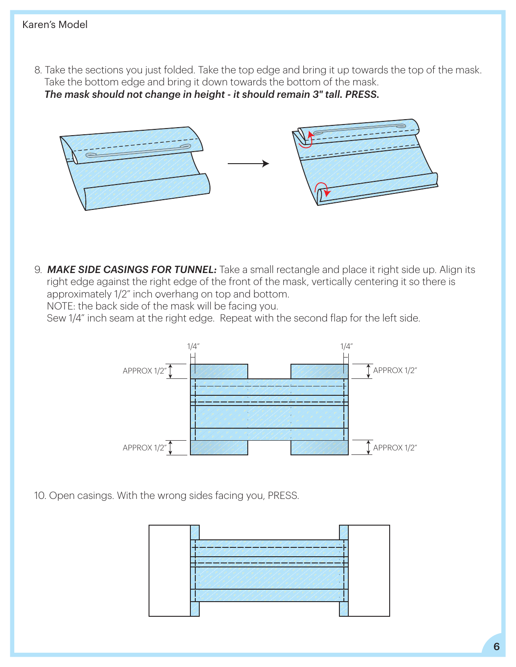8. Take the sections you just folded. Take the top edge and bring it up towards the top of the mask. Take the bottom edge and bring it down towards the bottom of the mask. *The mask should not change in height - it should remain 3" tall. PRESS.*



9. *MAKE SIDE CASINGS FOR TUNNEL:* Take a small rectangle and place it right side up. Align its right edge against the right edge of the front of the mask, vertically centering it so there is approximately 1/2" inch overhang on top and bottom. *.*

NOTE: the back side of the mask will be facing you.

Sew 1/4" inch seam at the right edge. Repeat with the second flap for the left side.



10. Open casings. With the wrong sides facing you, PRESS.

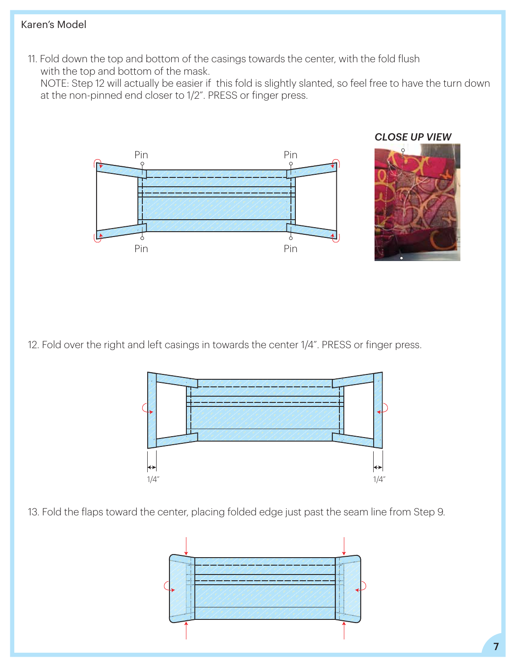11. Fold down the top and bottom of the casings towards the center, with the fold flush with the top and bottom of the mask.

 NOTE: Step 12 will actually be easier if this fold is slightly slanted, so feel free to have the turn down at the non-pinned end closer to 1/2". PRESS or finger press.



12. Fold over the right and left casings in towards the center 1/4". PRESS or finger press.



13. Fold the flaps toward the center, placing folded edge just past the seam line from Step 9.

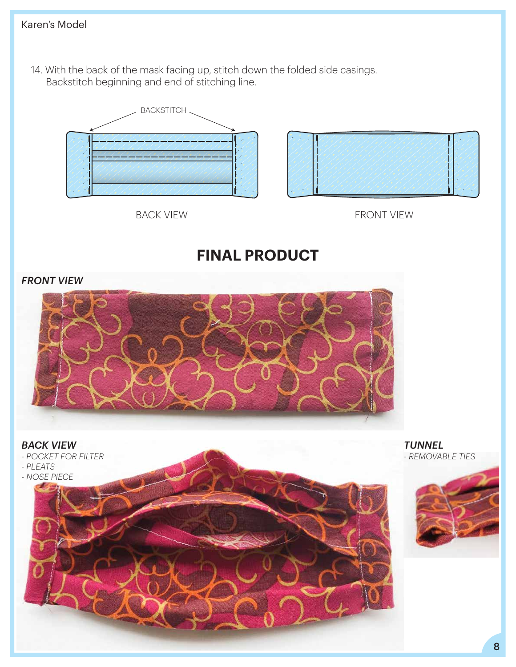14. With the back of the mask facing up, stitch down the folded side casings. Backstitch beginning and end of stitching line.





BACK VIEW **FRONT VIEW** 

## **FINAL PRODUCT**